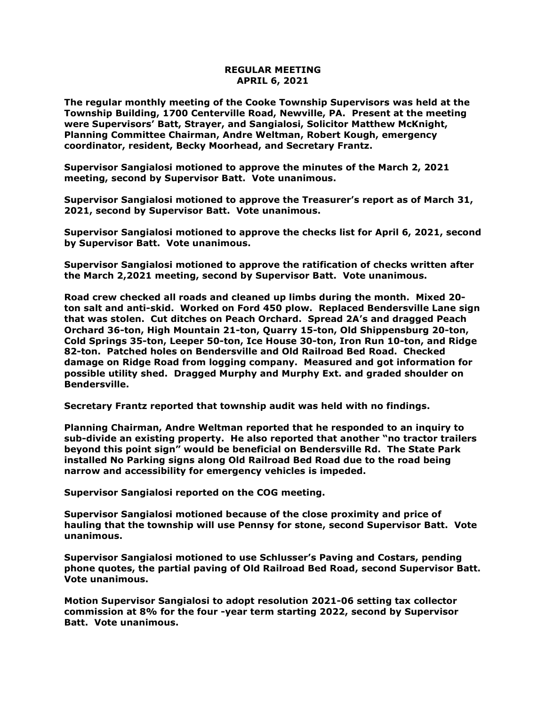## **REGULAR MEETING APRIL 6, 2021**

**The regular monthly meeting of the Cooke Township Supervisors was held at the Township Building, 1700 Centerville Road, Newville, PA. Present at the meeting were Supervisors' Batt, Strayer, and Sangialosi, Solicitor Matthew McKnight, Planning Committee Chairman, Andre Weltman, Robert Kough, emergency coordinator, resident, Becky Moorhead, and Secretary Frantz.** 

**Supervisor Sangialosi motioned to approve the minutes of the March 2, 2021 meeting, second by Supervisor Batt. Vote unanimous.** 

**Supervisor Sangialosi motioned to approve the Treasurer's report as of March 31, 2021, second by Supervisor Batt. Vote unanimous.**

**Supervisor Sangialosi motioned to approve the checks list for April 6, 2021, second by Supervisor Batt. Vote unanimous.**

**Supervisor Sangialosi motioned to approve the ratification of checks written after the March 2,2021 meeting, second by Supervisor Batt. Vote unanimous.**

**Road crew checked all roads and cleaned up limbs during the month. Mixed 20 ton salt and anti-skid. Worked on Ford 450 plow. Replaced Bendersville Lane sign that was stolen. Cut ditches on Peach Orchard. Spread 2A's and dragged Peach Orchard 36-ton, High Mountain 21-ton, Quarry 15-ton, Old Shippensburg 20-ton, Cold Springs 35-ton, Leeper 50-ton, Ice House 30-ton, Iron Run 10-ton, and Ridge 82-ton. Patched holes on Bendersville and Old Railroad Bed Road. Checked damage on Ridge Road from logging company. Measured and got information for possible utility shed. Dragged Murphy and Murphy Ext. and graded shoulder on Bendersville.**

**Secretary Frantz reported that township audit was held with no findings.** 

**Planning Chairman, Andre Weltman reported that he responded to an inquiry to sub-divide an existing property. He also reported that another "no tractor trailers beyond this point sign" would be beneficial on Bendersville Rd. The State Park installed No Parking signs along Old Railroad Bed Road due to the road being narrow and accessibility for emergency vehicles is impeded.**

**Supervisor Sangialosi reported on the COG meeting.** 

**Supervisor Sangialosi motioned because of the close proximity and price of hauling that the township will use Pennsy for stone, second Supervisor Batt. Vote unanimous.**

**Supervisor Sangialosi motioned to use Schlusser's Paving and Costars, pending phone quotes, the partial paving of Old Railroad Bed Road, second Supervisor Batt. Vote unanimous.**

**Motion Supervisor Sangialosi to adopt resolution 2021-06 setting tax collector commission at 8% for the four -year term starting 2022, second by Supervisor Batt. Vote unanimous.**